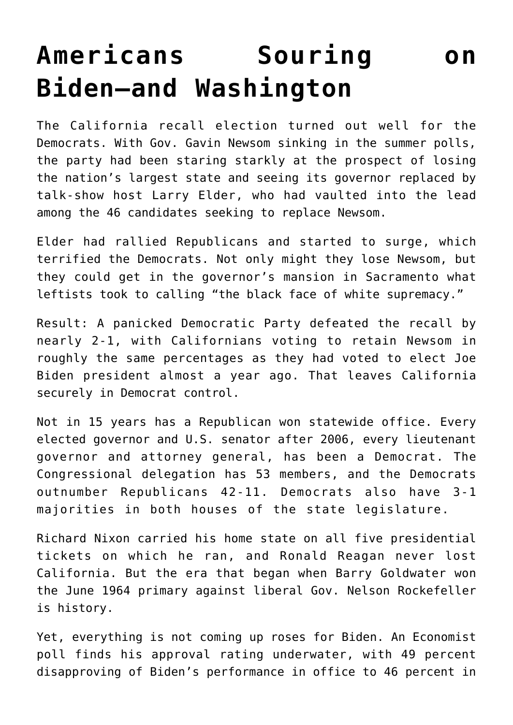## **[Americans Souring on](https://intellectualtakeout.org/2021/09/americans-souring-on-biden-and-washington/) [Biden—and Washington](https://intellectualtakeout.org/2021/09/americans-souring-on-biden-and-washington/)**

The California recall election turned out well for the Democrats. With Gov. Gavin Newsom sinking in the summer polls, the party had been staring starkly at the prospect of losing the nation's largest state and seeing its governor replaced by talk-show host Larry Elder, who had vaulted into the lead among the 46 candidates seeking to replace Newsom.

Elder had rallied Republicans and started to surge, which terrified the Democrats. Not only might they lose Newsom, but they could get in the governor's mansion in Sacramento what leftists took to calling "the black face of white supremacy."

Result: A panicked Democratic Party defeated the recall by nearly 2-1, with Californians voting to retain Newsom in roughly the same percentages as they had voted to elect Joe Biden president almost a year ago. That leaves California securely in Democrat control.

Not in 15 years has a Republican won statewide office. Every elected governor and U.S. senator after 2006, every lieutenant governor and attorney general, has been a Democrat. The Congressional delegation has 53 members, and the Democrats outnumber Republicans 42-11. Democrats also have 3-1 majorities in both houses of the state legislature.

Richard Nixon carried his home state on all five presidential tickets on which he ran, and Ronald Reagan never lost California. But the era that began when Barry Goldwater won the June 1964 primary against liberal Gov. Nelson Rockefeller is history.

Yet, everything is not coming up roses for Biden. An Economist poll finds his approval rating underwater, with 49 percent disapproving of Biden's performance in office to 46 percent in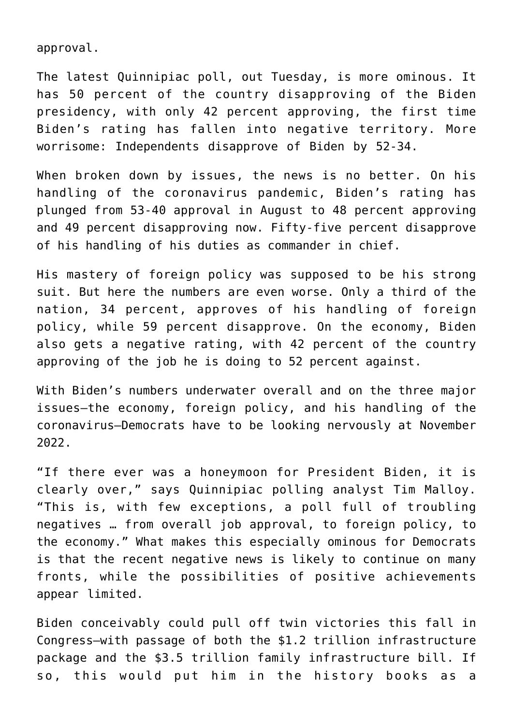approval.

The latest Quinnipiac poll, out Tuesday, is more ominous. It has 50 percent of the country disapproving of the Biden presidency, with only 42 percent approving, the first time Biden's rating has fallen into negative territory. More worrisome: Independents disapprove of Biden by 52-34.

When broken down by issues, the news is no better. On his handling of the coronavirus pandemic, Biden's rating has plunged from 53-40 approval in August to 48 percent approving and 49 percent disapproving now. Fifty-five percent disapprove of his handling of his duties as commander in chief.

His mastery of foreign policy was supposed to be his strong suit. But here the numbers are even worse. Only a third of the nation, 34 percent, approves of his handling of foreign policy, while 59 percent disapprove. On the economy, Biden also gets a negative rating, with 42 percent of the country approving of the job he is doing to 52 percent against.

With Biden's numbers underwater overall and on the three major issues—the economy, foreign policy, and his handling of the coronavirus—Democrats have to be looking nervously at November 2022.

"If there ever was a honeymoon for President Biden, it is clearly over," says Quinnipiac polling analyst Tim Malloy. "This is, with few exceptions, a poll full of troubling negatives … from overall job approval, to foreign policy, to the economy." What makes this especially ominous for Democrats is that the recent negative news is likely to continue on many fronts, while the possibilities of positive achievements appear limited.

Biden conceivably could pull off twin victories this fall in Congress—with passage of both the \$1.2 trillion infrastructure package and the \$3.5 trillion family infrastructure bill. If so, this would put him in the history books as a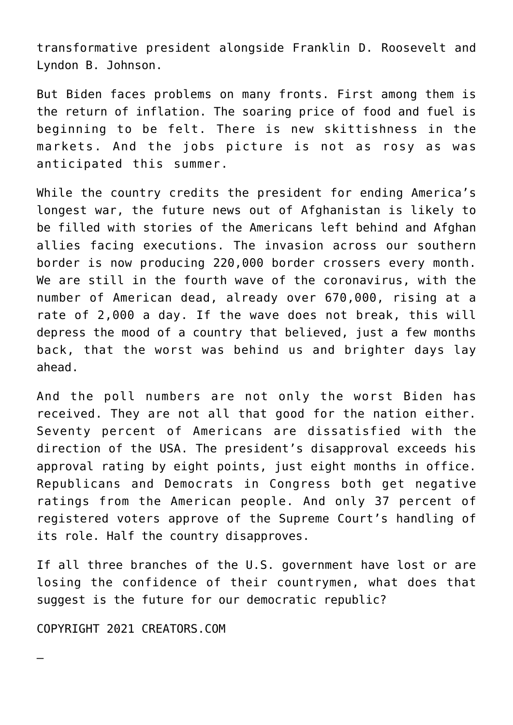transformative president alongside Franklin D. Roosevelt and Lyndon B. Johnson.

But Biden faces problems on many fronts. First among them is the return of inflation. The soaring price of food and fuel is beginning to be felt. There is new skittishness in the markets. And the jobs picture is not as rosy as was anticipated this summer.

While the country credits the president for ending America's longest war, the future news out of Afghanistan is likely to be filled with stories of the Americans left behind and Afghan allies facing executions. The invasion across our southern border is now producing 220,000 border crossers every month. We are still in the fourth wave of the coronavirus, with the number of American dead, already over 670,000, rising at a rate of 2,000 a day. If the wave does not break, this will depress the mood of a country that believed, just a few months back, that the worst was behind us and brighter days lay ahead.

And the poll numbers are not only the worst Biden has received. They are not all that good for the nation either. Seventy percent of Americans are dissatisfied with the direction of the USA. The president's disapproval exceeds his approval rating by eight points, just eight months in office. Republicans and Democrats in Congress both get negative ratings from the American people. And only 37 percent of registered voters approve of the Supreme Court's handling of its role. Half the country disapproves.

If all three branches of the U.S. government have lost or are losing the confidence of their countrymen, what does that suggest is the future for our democratic republic?

COPYRIGHT 2021 CREATORS.COM

—